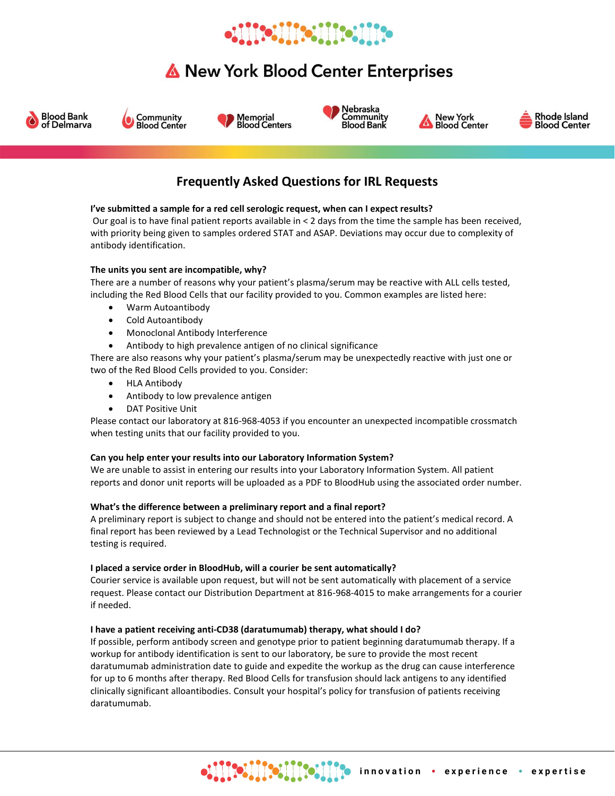# **Mollifellifellife**

## New York Blood Center Enterprises













### **Frequently Asked Questions for IRL Requests**

### **I've submitted a sample for a red cell serologic request, when can I expect results?**

Our goal is to have final patient reports available in < 2 days from the time the sample has been received, with priority being given to samples ordered STAT and ASAP. Deviations may occur due to complexity of antibody identification.

### **The units you sent are incompatible, why?**

There are a number of reasons why your patient's plasma/serum may be reactive with ALL cells tested, including the Red Blood Cells that our facility provided to you. Common examples are listed here:

- Warm Autoantibody
- Cold Autoantibody
- Monoclonal Antibody Interference
- Antibody to high prevalence antigen of no clinical significance

There are also reasons why your patient's plasma/serum may be unexpectedly reactive with just one or two of the Red Blood Cells provided to you. Consider:

- HLA Antibody
- Antibody to low prevalence antigen
- DAT Positive Unit

Please contact our laboratory at 816-968-4053 if you encounter an unexpected incompatible crossmatch when testing units that our facility provided to you.

### **Can you help enter your results into our Laboratory Information System?**

We are unable to assist in entering our results into your Laboratory Information System. All patient reports and donor unit reports will be uploaded as a PDF to BloodHub using the associated order number.

### **What's the difference between a preliminary report and a final report?**

A preliminary report is subject to change and should not be entered into the patient's medical record. A final report has been reviewed by a Lead Technologist or the Technical Supervisor and no additional testing is required.

### **I placed a service order in BloodHub, will a courier be sent automatically?**

Courier service is available upon request, but will not be sent automatically with placement of a service request. Please contact our Distribution Department at 816-968-4015 to make arrangements for a courier if needed.

### **I have a patient receiving anti-CD38 (daratumumab) therapy, what should I do?**

If possible, perform antibody screen and genotype prior to patient beginning daratumumab therapy. If a workup for antibody identification is sent to our laboratory, be sure to provide the most recent daratumumab administration date to guide and expedite the workup as the drug can cause interference for up to 6 months after therapy. Red Blood Cells for transfusion should lack antigens to any identified clinically significant alloantibodies. Consult your hospital's policy for transfusion of patients receiving daratumumab.

**HIONNICH HOMA**